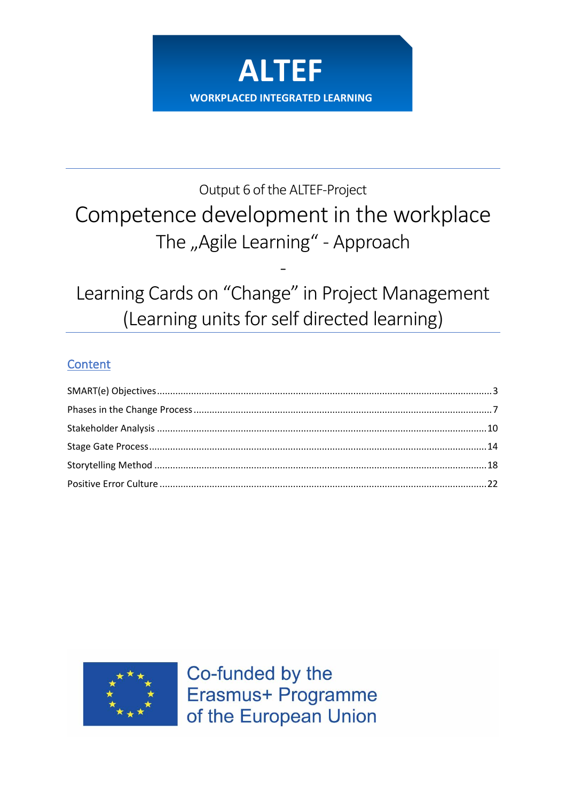

# Output 6 of the ALTEF-Project Competence development in the workplace The "Agile Learning" - Approach

Learning Cards on "Change" in Project Management (Learning units for self directed learning)

# Content



Co-funded by the Erasmus+ Programme of the European Union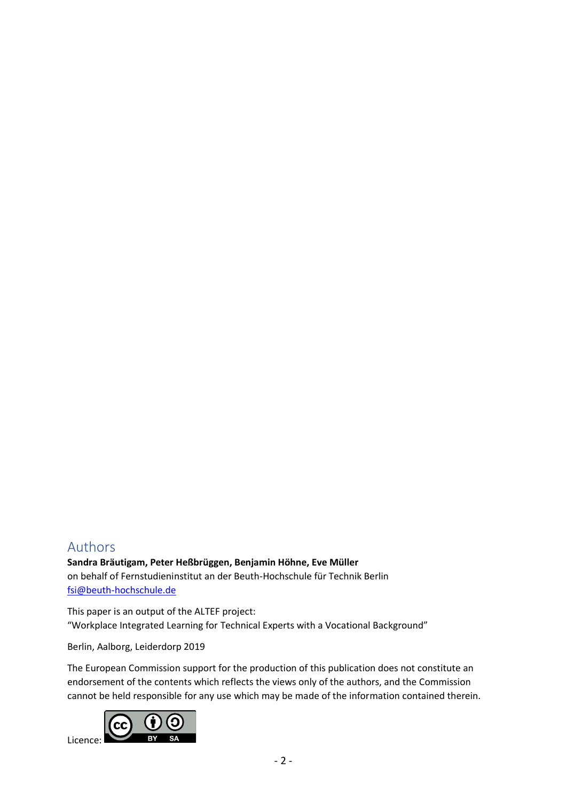# Authors

**Sandra Bräutigam, Peter Heßbrüggen, Benjamin Höhne, Eve Müller** on behalf of Fernstudieninstitut an der Beuth-Hochschule für Technik Berlin [fsi@beuth-hochschule.de](mailto:fsi@beuth-hochschule.de)

This paper is an output of the ALTEF project: "Workplace Integrated Learning for Technical Experts with a Vocational Background"

Berlin, Aalborg, Leiderdorp 2019

The European Commission support for the production of this publication does not constitute an endorsement of the contents which reflects the views only of the authors, and the Commission cannot be held responsible for any use which may be made of the information contained therein.

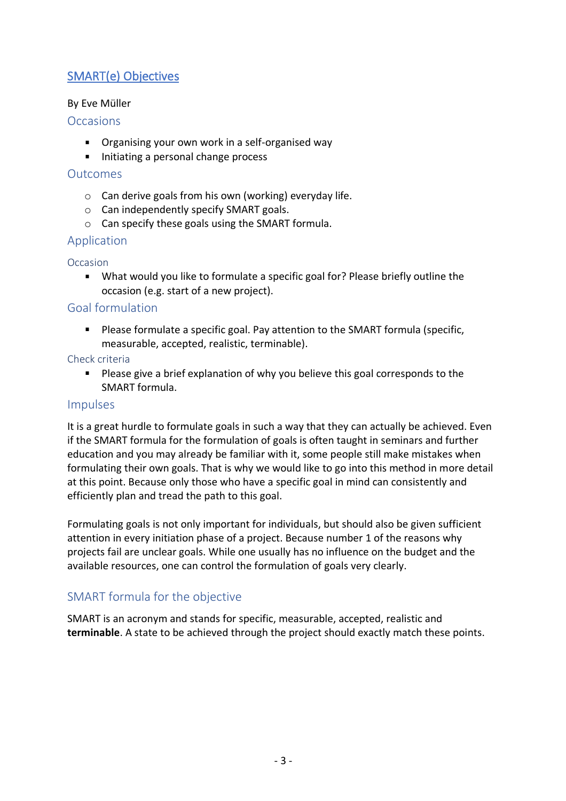# <span id="page-2-0"></span>SMART(e) Objectives

## By Eve Müller

## **Occasions**

- **Divides** Organising your own work in a self-organised way
- Initiating a personal change process

## **Outcomes**

- o Can derive goals from his own (working) everyday life.
- o Can independently specify SMART goals.
- o Can specify these goals using the SMART formula.

# Application

## **Occasion**

What would you like to formulate a specific goal for? Please briefly outline the  $\blacksquare$ occasion (e.g. start of a new project).

# Goal formulation

**Please formulate a specific goal. Pay attention to the SMART formula (specific,** measurable, accepted, realistic, terminable).

## Check criteria

**Please give a brief explanation of why you believe this goal corresponds to the** SMART formula.

# Impulses

It is a great hurdle to formulate goals in such a way that they can actually be achieved. Even if the SMART formula for the formulation of goals is often taught in seminars and further education and you may already be familiar with it, some people still make mistakes when formulating their own goals. That is why we would like to go into this method in more detail at this point. Because only those who have a specific goal in mind can consistently and efficiently plan and tread the path to this goal.

Formulating goals is not only important for individuals, but should also be given sufficient attention in every initiation phase of a project. Because number 1 of the reasons why projects fail are unclear goals. While one usually has no influence on the budget and the available resources, one can control the formulation of goals very clearly.

# SMART formula for the objective

SMART is an acronym and stands for specific, measurable, accepted, realistic and **terminable**. A state to be achieved through the project should exactly match these points.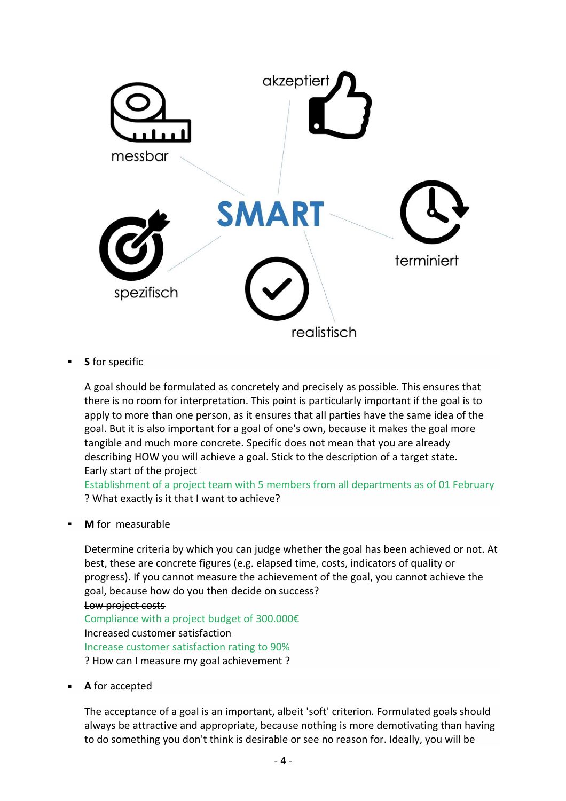

**S** for specific

A goal should be formulated as concretely and precisely as possible. This ensures that there is no room for interpretation. This point is particularly important if the goal is to apply to more than one person, as it ensures that all parties have the same idea of the goal. But it is also important for a goal of one's own, because it makes the goal more tangible and much more concrete. Specific does not mean that you are already describing HOW you will achieve a goal. Stick to the description of a target state. Early start of the project

Establishment of a project team with 5 members from all departments as of 01 February ? What exactly is it that I want to achieve?

**M** for measurable

Determine criteria by which you can judge whether the goal has been achieved or not. At best, these are concrete figures (e.g. elapsed time, costs, indicators of quality or progress). If you cannot measure the achievement of the goal, you cannot achieve the goal, because how do you then decide on success? Low project costs Compliance with a project budget of 300.000€ Increased customer satisfaction Increase customer satisfaction rating to 90% ? How can I measure my goal achievement ?

**A** for accepted

The acceptance of a goal is an important, albeit 'soft' criterion. Formulated goals should always be attractive and appropriate, because nothing is more demotivating than having to do something you don't think is desirable or see no reason for. Ideally, you will be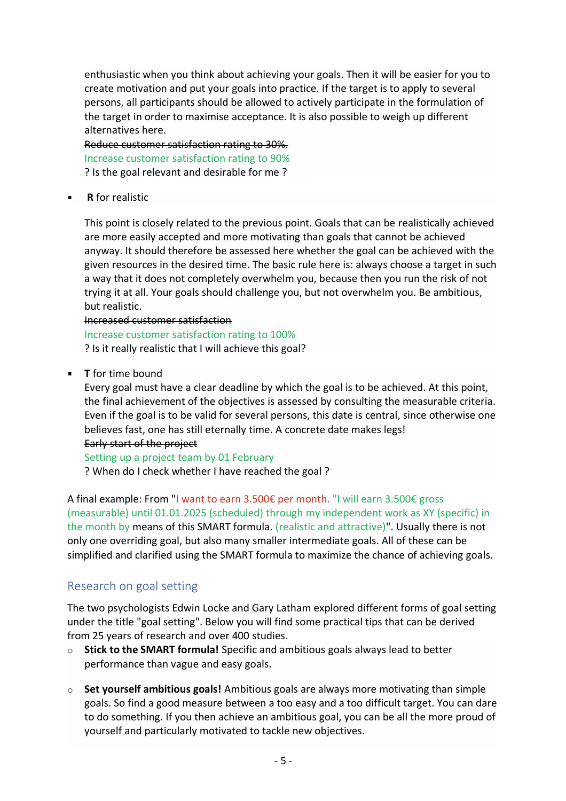enthusiastic when you think about achieving your goals. Then it will be easier for you to create motivation and put your goals into practice. If the target is to apply to several persons, all participants should be allowed to actively participate in the formulation of the target in order to maximise acceptance. It is also possible to weigh up different alternatives here.

Reduce customer satisfaction rating to 30%. Increase customer satisfaction rating to 90% ? Is the goal relevant and desirable for me ?

**R** for realistic

This point is closely related to the previous point. Goals that can be realistically achieved are more easily accepted and more motivating than goals that cannot be achieved anyway. It should therefore be assessed here whether the goal can be achieved with the given resources in the desired time. The basic rule here is: always choose a target in such a way that it does not completely overwhelm you, because then you run the risk of not trying it at all. Your goals should challenge you, but not overwhelm you. Be ambitious, but realistic.

#### Increased customer satisfaction

Increase customer satisfaction rating to 100% ? Is it really realistic that I will achieve this goal?

**T** for time bound

Every goal must have a clear deadline by which the goal is to be achieved. At this point, the final achievement of the objectives is assessed by consulting the measurable criteria. Even if the goal is to be valid for several persons, this date is central, since otherwise one believes fast, one has still eternally time. A concrete date makes legs!

#### Early start of the project

Setting up a project team by 01 February ? When do I check whether I have reached the goal ?

A final example: From "I want to earn 3.500€ per month. "I will earn 3.500€ gross (measurable) until 01.01.2025 (scheduled) through my independent work as XY (specific) in the month by means of this SMART formula. (realistic and attractive)". Usually there is not only one overriding goal, but also many smaller intermediate goals. All of these can be simplified and clarified using the SMART formula to maximize the chance of achieving goals.

# Research on goal setting

The two psychologists Edwin Locke and Gary Latham explored different forms of goal setting under the title "goal setting". Below you will find some practical tips that can be derived from 25 years of research and over 400 studies.

- o **Stick to the SMART formula!** Specific and ambitious goals always lead to better performance than vague and easy goals.
- o **Set yourself ambitious goals!** Ambitious goals are always more motivating than simple goals. So find a good measure between a too easy and a too difficult target. You can dare to do something. If you then achieve an ambitious goal, you can be all the more proud of yourself and particularly motivated to tackle new objectives.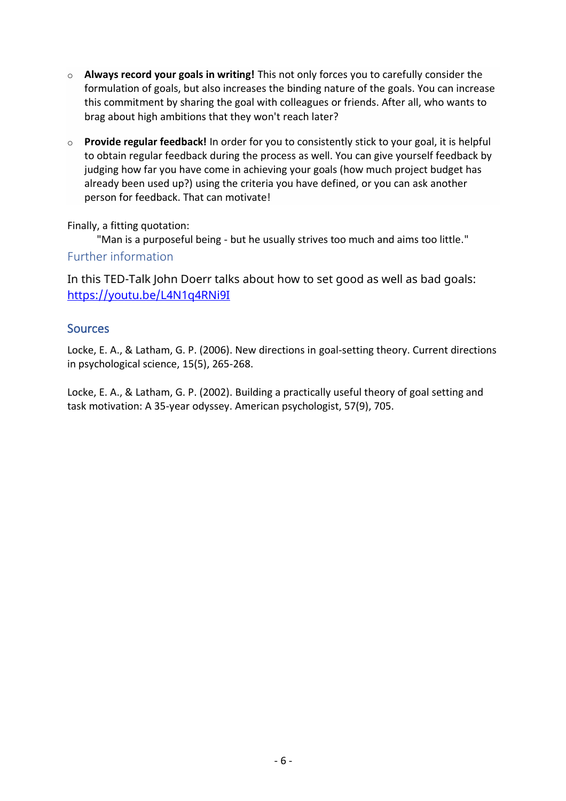- o **Always record your goals in writing!** This not only forces you to carefully consider the formulation of goals, but also increases the binding nature of the goals. You can increase this commitment by sharing the goal with colleagues or friends. After all, who wants to brag about high ambitions that they won't reach later?
- o **Provide regular feedback!** In order for you to consistently stick to your goal, it is helpful to obtain regular feedback during the process as well. You can give yourself feedback by judging how far you have come in achieving your goals (how much project budget has already been used up?) using the criteria you have defined, or you can ask another person for feedback. That can motivate!

Finally, a fitting quotation:

"Man is a purposeful being - but he usually strives too much and aims too little."

# Further information

In this TED-Talk John Doerr talks about how to set good as well as bad goals: <https://youtu.be/L4N1q4RNi9I>

# **Sources**

Locke, E. A., & Latham, G. P. (2006). New directions in goal-setting theory. Current directions in psychological science, 15(5), 265-268.

Locke, E. A., & Latham, G. P. (2002). Building a practically useful theory of goal setting and task motivation: A 35-year odyssey. American psychologist, 57(9), 705.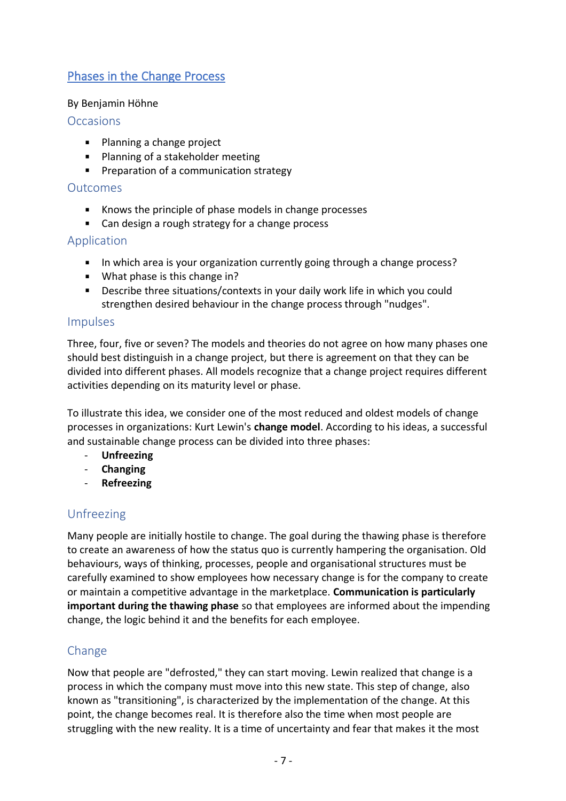# <span id="page-6-0"></span>Phases in the Change Process

## By Benjamin Höhne

## **Occasions**

- **Planning a change project**
- **Planning of a stakeholder meeting**
- **Preparation of a communication strategy**

## Outcomes

- Knows the principle of phase models in change processes
- Can design a rough strategy for a change process

# Application

- In which area is your organization currently going through a change process?
- **What phase is this change in?**
- Describe three situations/contexts in your daily work life in which you could strengthen desired behaviour in the change process through "nudges".

## Impulses

Three, four, five or seven? The models and theories do not agree on how many phases one should best distinguish in a change project, but there is agreement on that they can be divided into different phases. All models recognize that a change project requires different activities depending on its maturity level or phase.

To illustrate this idea, we consider one of the most reduced and oldest models of change processes in organizations: Kurt Lewin's **change model**. According to his ideas, a successful and sustainable change process can be divided into three phases:

- **Unfreezing**
- **Changing**
- **Refreezing**

# Unfreezing

Many people are initially hostile to change. The goal during the thawing phase is therefore to create an awareness of how the status quo is currently hampering the organisation. Old behaviours, ways of thinking, processes, people and organisational structures must be carefully examined to show employees how necessary change is for the company to create or maintain a competitive advantage in the marketplace. **Communication is particularly important during the thawing phase** so that employees are informed about the impending change, the logic behind it and the benefits for each employee.

# Change

Now that people are "defrosted," they can start moving. Lewin realized that change is a process in which the company must move into this new state. This step of change, also known as "transitioning", is characterized by the implementation of the change. At this point, the change becomes real. It is therefore also the time when most people are struggling with the new reality. It is a time of uncertainty and fear that makes it the most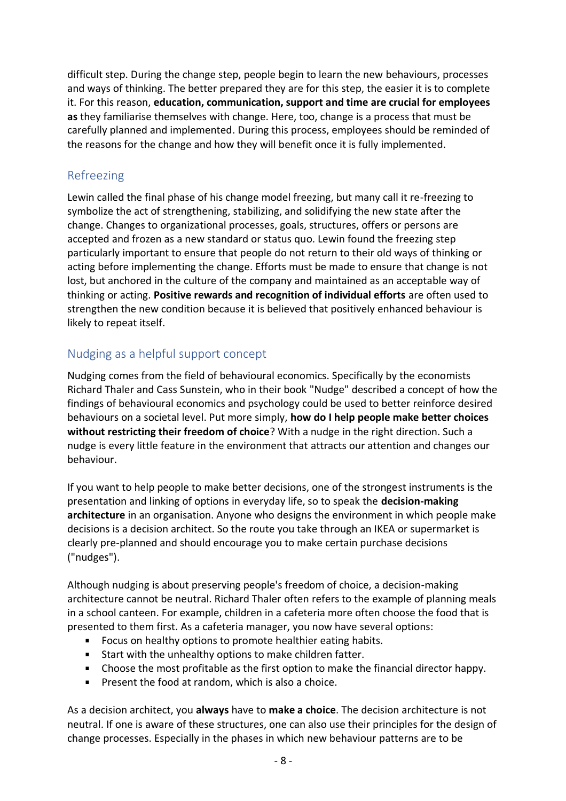difficult step. During the change step, people begin to learn the new behaviours, processes and ways of thinking. The better prepared they are for this step, the easier it is to complete it. For this reason, **education, communication, support and time are crucial for employees as** they familiarise themselves with change. Here, too, change is a process that must be carefully planned and implemented. During this process, employees should be reminded of the reasons for the change and how they will benefit once it is fully implemented.

# Refreezing

Lewin called the final phase of his change model freezing, but many call it re-freezing to symbolize the act of strengthening, stabilizing, and solidifying the new state after the change. Changes to organizational processes, goals, structures, offers or persons are accepted and frozen as a new standard or status quo. Lewin found the freezing step particularly important to ensure that people do not return to their old ways of thinking or acting before implementing the change. Efforts must be made to ensure that change is not lost, but anchored in the culture of the company and maintained as an acceptable way of thinking or acting. **Positive rewards and recognition of individual efforts** are often used to strengthen the new condition because it is believed that positively enhanced behaviour is likely to repeat itself.

# Nudging as a helpful support concept

Nudging comes from the field of behavioural economics. Specifically by the economists Richard Thaler and Cass Sunstein, who in their book "Nudge" described a concept of how the findings of behavioural economics and psychology could be used to better reinforce desired behaviours on a societal level. Put more simply, **how do I help people make better choices without restricting their freedom of choice**? With a nudge in the right direction. Such a nudge is every little feature in the environment that attracts our attention and changes our behaviour.

If you want to help people to make better decisions, one of the strongest instruments is the presentation and linking of options in everyday life, so to speak the **decision-making architecture** in an organisation. Anyone who designs the environment in which people make decisions is a decision architect. So the route you take through an IKEA or supermarket is clearly pre-planned and should encourage you to make certain purchase decisions ("nudges").

Although nudging is about preserving people's freedom of choice, a decision-making architecture cannot be neutral. Richard Thaler often refers to the example of planning meals in a school canteen. For example, children in a cafeteria more often choose the food that is presented to them first. As a cafeteria manager, you now have several options:

- **Focus on healthy options to promote healthier eating habits.**
- Start with the unhealthy options to make children fatter.
- Choose the most profitable as the first option to make the financial director happy.
- **Present the food at random, which is also a choice.**

As a decision architect, you **always** have to **make a choice**. The decision architecture is not neutral. If one is aware of these structures, one can also use their principles for the design of change processes. Especially in the phases in which new behaviour patterns are to be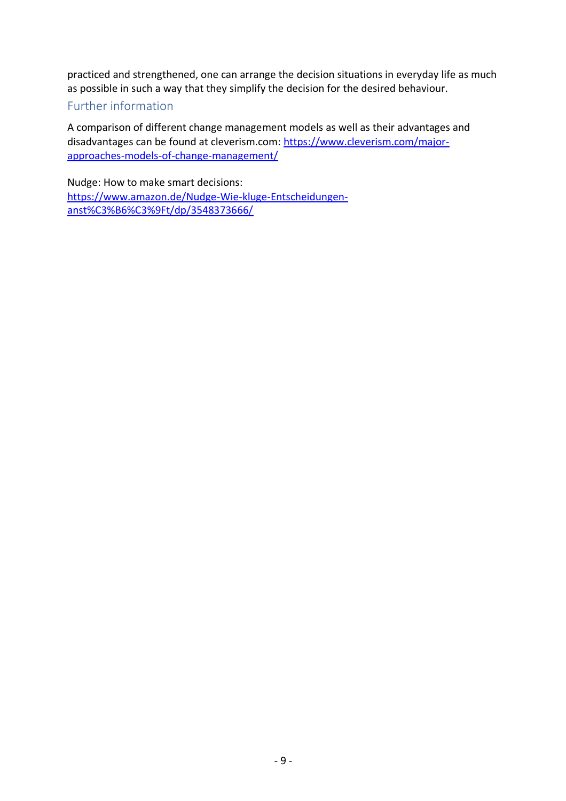practiced and strengthened, one can arrange the decision situations in everyday life as much as possible in such a way that they simplify the decision for the desired behaviour.

# Further information

A comparison of different change management models as well as their advantages and disadvantages can be found at cleverism.com: [https://www.cleverism.com/major](https://www.cleverism.com/major-approaches-models-of-change-management/)[approaches-models-of-change-management/](https://www.cleverism.com/major-approaches-models-of-change-management/)

Nudge: How to make smart decisions: [https://www.amazon.de/Nudge-Wie-kluge-Entscheidungen](https://www.amazon.de/Nudge-Wie-kluge-Entscheidungen-anst%C3%B6%C3%9Ft/dp/3548373666/)[anst%C3%B6%C3%9Ft/dp/3548373666/](https://www.amazon.de/Nudge-Wie-kluge-Entscheidungen-anst%C3%B6%C3%9Ft/dp/3548373666/)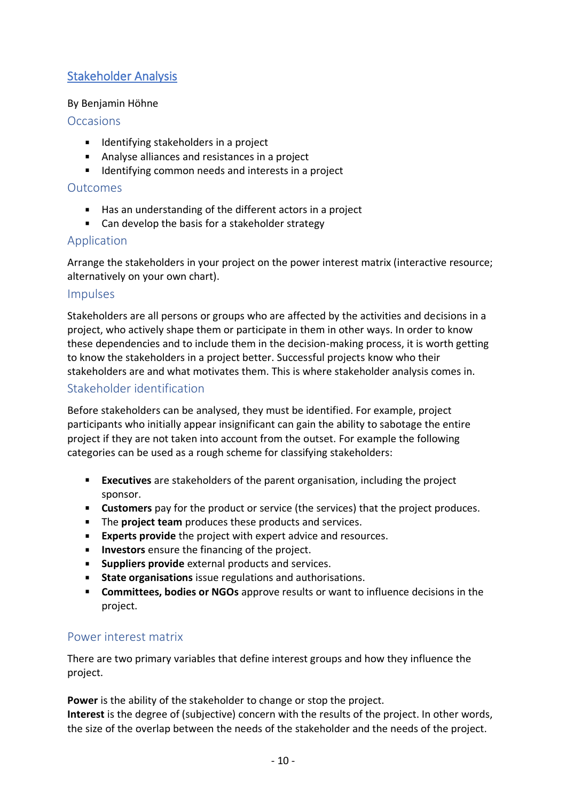# <span id="page-9-0"></span>Stakeholder Analysis

# By Benjamin Höhne

# **Occasions**

- **IDED** Identifying stakeholders in a project
- Analyse alliances and resistances in a project
- **IDENTIFY IDENTIFY** 1 dentifying common needs and interests in a project

## Outcomes

- Has an understanding of the different actors in a project
- Can develop the basis for a stakeholder strategy

# Application

Arrange the stakeholders in your project on the power interest matrix (interactive resource; alternatively on your own chart).

## Impulses

Stakeholders are all persons or groups who are affected by the activities and decisions in a project, who actively shape them or participate in them in other ways. In order to know these dependencies and to include them in the decision-making process, it is worth getting to know the stakeholders in a project better. Successful projects know who their stakeholders are and what motivates them. This is where stakeholder analysis comes in.

# Stakeholder identification

Before stakeholders can be analysed, they must be identified. For example, project participants who initially appear insignificant can gain the ability to sabotage the entire project if they are not taken into account from the outset. For example the following categories can be used as a rough scheme for classifying stakeholders:

- **Executives** are stakeholders of the parent organisation, including the project sponsor.
- **Customers** pay for the product or service (the services) that the project produces.
- The **project team** produces these products and services.
- **Experts provide** the project with expert advice and resources.
- **Investors** ensure the financing of the project.
- **Suppliers provide** external products and services.
- **State organisations** issue regulations and authorisations.
- **Committees, bodies or NGOs** approve results or want to influence decisions in the project.

# Power interest matrix

There are two primary variables that define interest groups and how they influence the project.

**Power** is the ability of the stakeholder to change or stop the project.

**Interest** is the degree of (subjective) concern with the results of the project. In other words, the size of the overlap between the needs of the stakeholder and the needs of the project.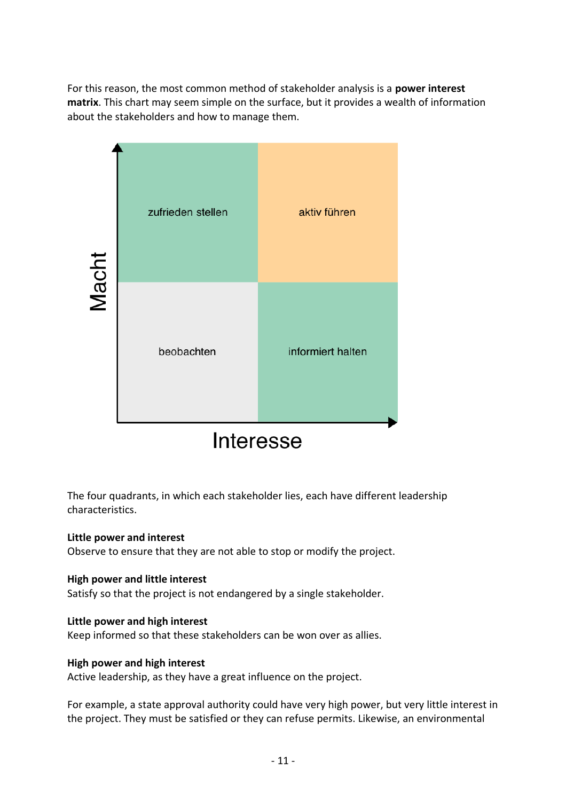For this reason, the most common method of stakeholder analysis is a **power interest matrix**. This chart may seem simple on the surface, but it provides a wealth of information about the stakeholders and how to manage them.



The four quadrants, in which each stakeholder lies, each have different leadership characteristics.

#### **Little power and interest**

Observe to ensure that they are not able to stop or modify the project.

#### **High power and little interest**

Satisfy so that the project is not endangered by a single stakeholder.

#### **Little power and high interest**

Keep informed so that these stakeholders can be won over as allies.

#### **High power and high interest**

Active leadership, as they have a great influence on the project.

For example, a state approval authority could have very high power, but very little interest in the project. They must be satisfied or they can refuse permits. Likewise, an environmental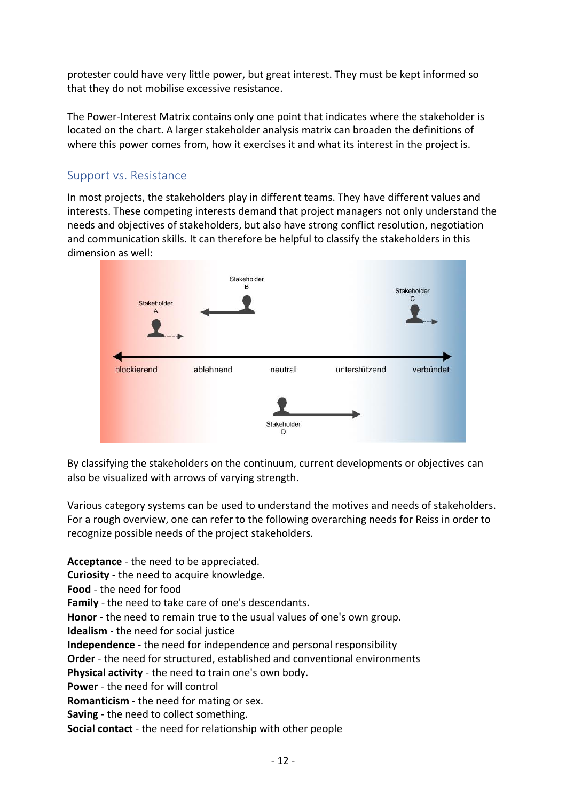protester could have very little power, but great interest. They must be kept informed so that they do not mobilise excessive resistance.

The Power-Interest Matrix contains only one point that indicates where the stakeholder is located on the chart. A larger stakeholder analysis matrix can broaden the definitions of where this power comes from, how it exercises it and what its interest in the project is.

# Support vs. Resistance

In most projects, the stakeholders play in different teams. They have different values and interests. These competing interests demand that project managers not only understand the needs and objectives of stakeholders, but also have strong conflict resolution, negotiation and communication skills. It can therefore be helpful to classify the stakeholders in this dimension as well:



By classifying the stakeholders on the continuum, current developments or objectives can also be visualized with arrows of varying strength.

Various category systems can be used to understand the motives and needs of stakeholders. For a rough overview, one can refer to the following overarching needs for Reiss in order to recognize possible needs of the project stakeholders.

**Acceptance** - the need to be appreciated. **Curiosity** - the need to acquire knowledge. **Food** - the need for food **Family** - the need to take care of one's descendants. **Honor** - the need to remain true to the usual values of one's own group. **Idealism** - the need for social justice **Independence** - the need for independence and personal responsibility **Order** - the need for structured, established and conventional environments **Physical activity** - the need to train one's own body. **Power** - the need for will control **Romanticism** - the need for mating or sex. **Saving** - the need to collect something. **Social contact** - the need for relationship with other people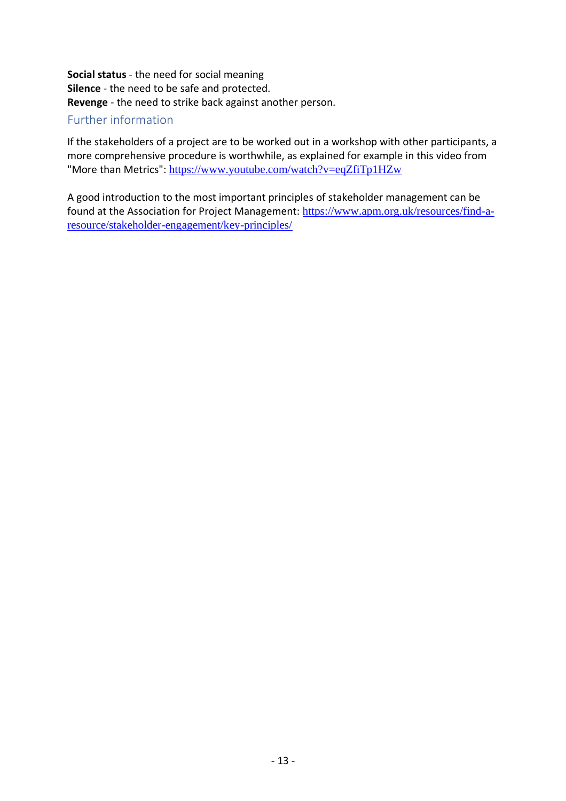**Social status** - the need for social meaning **Silence** - the need to be safe and protected. **Revenge** - the need to strike back against another person.

# Further information

If the stakeholders of a project are to be worked out in a workshop with other participants, a more comprehensive procedure is worthwhile, as explained for example in this video from "More than Metrics": <https://www.youtube.com/watch?v=eqZfiTp1HZw>

A good introduction to the most important principles of stakeholder management can be found at the Association for Project Management: [https://www.apm.org.uk/resources/find-a](https://www.apm.org.uk/resources/find-a-resource/stakeholder-engagement/key-principles/)[resource/stakeholder-engagement/key-principles/](https://www.apm.org.uk/resources/find-a-resource/stakeholder-engagement/key-principles/)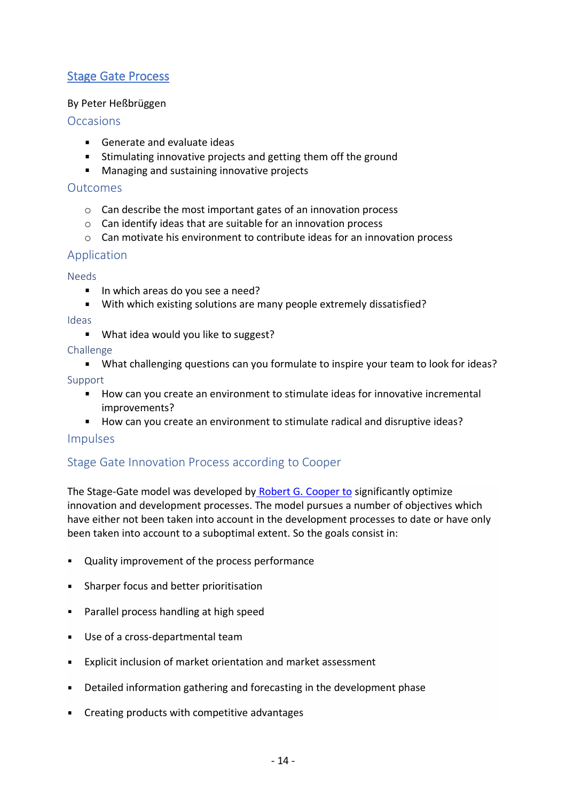# <span id="page-13-0"></span>Stage Gate Process

## By Peter Heßbrüggen

## **Occasions**

- Generate and evaluate ideas
- Stimulating innovative projects and getting them off the ground
- **Managing and sustaining innovative projects**

#### **Outcomes**

- o Can describe the most important gates of an innovation process
- o Can identify ideas that are suitable for an innovation process
- $\circ$  Can motivate his environment to contribute ideas for an innovation process

# Application

#### Needs

- In which areas do you see a need?
- With which existing solutions are many people extremely dissatisfied?

#### Ideas

**What idea would you like to suggest?** 

#### Challenge

What challenging questions can you formulate to inspire your team to look for ideas?

Support

- How can you create an environment to stimulate ideas for innovative incremental improvements?
- How can you create an environment to stimulate radical and disruptive ideas?

# Impulses

# Stage Gate Innovation Process according to Cooper

The Stage-Gate model was developed by [Robert G. Cooper to](https://de.wikipedia.org/w/index.php?title=Robert_G._Cooper&action=edit&redlink=1) significantly optimize innovation and development processes. The model pursues a number of objectives which have either not been taken into account in the development processes to date or have only been taken into account to a suboptimal extent. So the goals consist in:

- Quality improvement of the process performance
- **Sharper focus and better prioritisation**
- **Parallel process handling at high speed**
- Use of a cross-departmental team
- Explicit inclusion of market orientation and market assessment
- Detailed information gathering and forecasting in the development phase
- Creating products with competitive advantages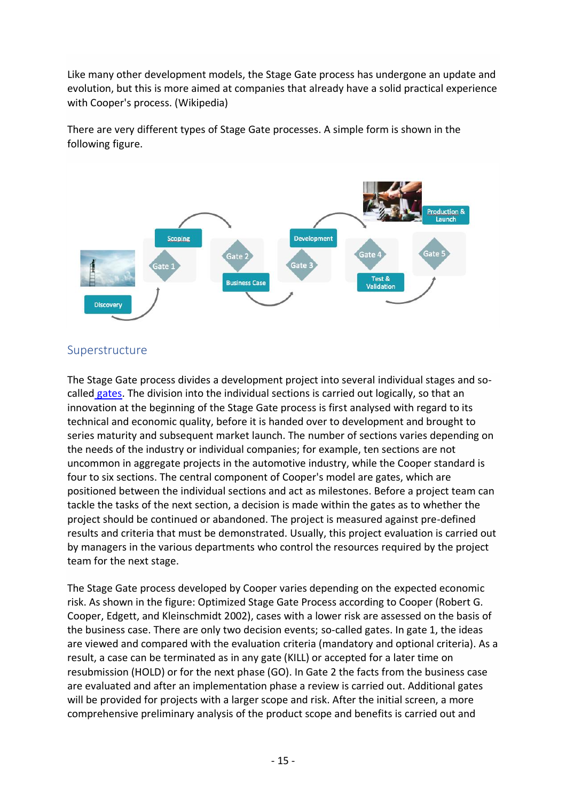Like many other development models, the Stage Gate process has undergone an update and evolution, but this is more aimed at companies that already have a solid practical experience with Cooper's process. (Wikipedia)

There are very different types of Stage Gate processes. A simple form is shown in the following figure.



# Superstructure

The Stage Gate process divides a development project into several individual stages and socalled [gates.](https://de.wikipedia.org/wiki/Quality_Gate) The division into the individual sections is carried out logically, so that an innovation at the beginning of the Stage Gate process is first analysed with regard to its technical and economic quality, before it is handed over to development and brought to series maturity and subsequent market launch. The number of sections varies depending on the needs of the industry or individual companies; for example, ten sections are not uncommon in aggregate projects in the automotive industry, while the Cooper standard is four to six sections. The central component of Cooper's model are gates, which are positioned between the individual sections and act as milestones. Before a project team can tackle the tasks of the next section, a decision is made within the gates as to whether the project should be continued or abandoned. The project is measured against pre-defined results and criteria that must be demonstrated. Usually, this project evaluation is carried out by managers in the various departments who control the resources required by the project team for the next stage.

The Stage Gate process developed by Cooper varies depending on the expected economic risk. As shown in the figure: Optimized Stage Gate Process according to Cooper (Robert G. Cooper, Edgett, and Kleinschmidt 2002), cases with a lower risk are assessed on the basis of the business case. There are only two decision events; so-called gates. In gate 1, the ideas are viewed and compared with the evaluation criteria (mandatory and optional criteria). As a result, a case can be terminated as in any gate (KILL) or accepted for a later time on resubmission (HOLD) or for the next phase (GO). In Gate 2 the facts from the business case are evaluated and after an implementation phase a review is carried out. Additional gates will be provided for projects with a larger scope and risk. After the initial screen, a more comprehensive preliminary analysis of the product scope and benefits is carried out and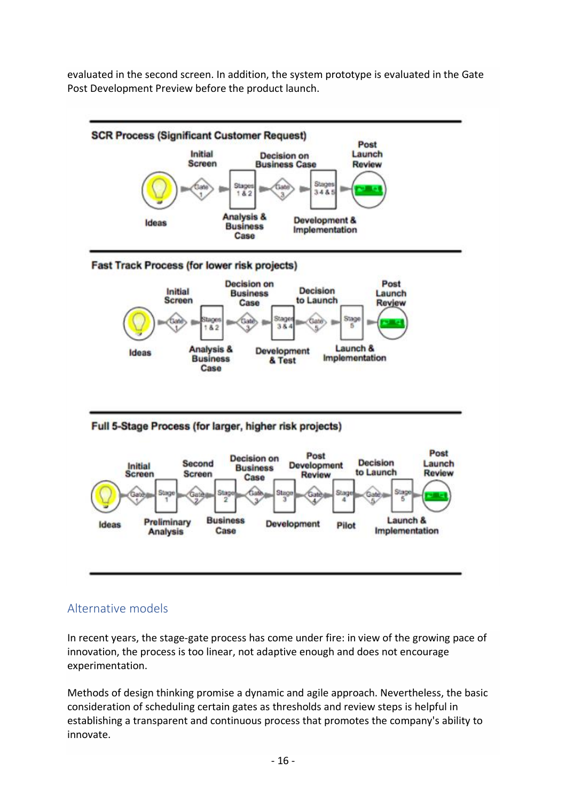evaluated in the second screen. In addition, the system prototype is evaluated in the Gate Post Development Preview before the product launch.



# Alternative models

In recent years, the stage-gate process has come under fire: in view of the growing pace of innovation, the process is too linear, not adaptive enough and does not encourage experimentation.

Methods of design thinking promise a dynamic and agile approach. Nevertheless, the basic consideration of scheduling certain gates as thresholds and review steps is helpful in establishing a transparent and continuous process that promotes the company's ability to innovate.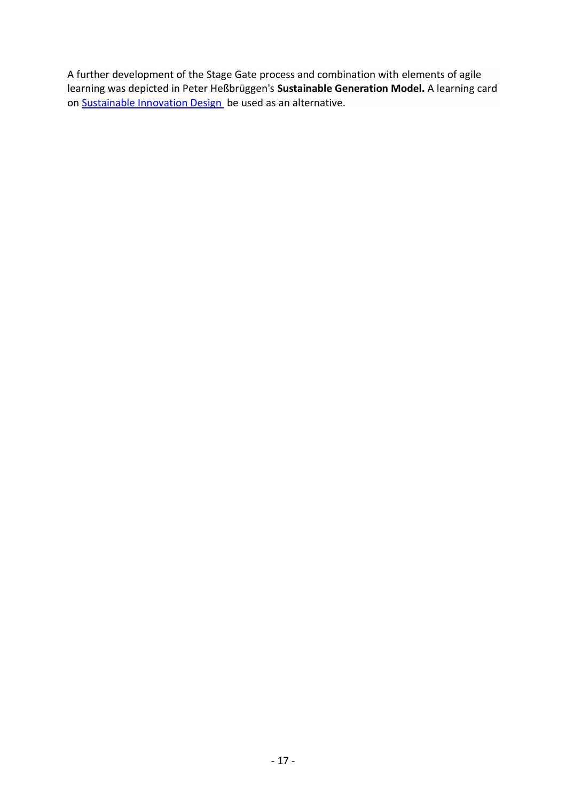A further development of the Stage Gate process and combination with elements of agile learning was depicted in Peter Heßbrüggen's **Sustainable Generation Model.** A learning card on Sustainable [Innovation Design](http://academy.agile-learning.eu/med_lcard/sustainable-innovation-design/) be used as an alternative.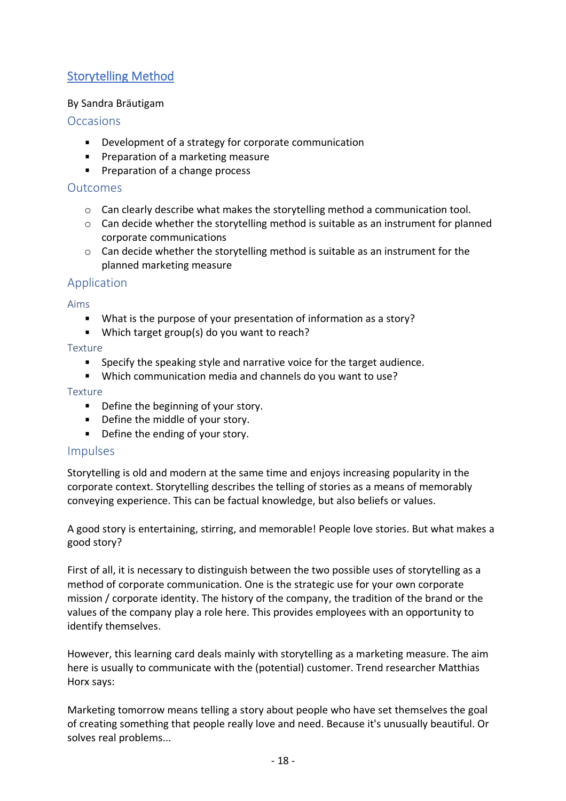# <span id="page-17-0"></span>Storytelling Method

## By Sandra Bräutigam

## **Occasions**

- **Development of a strategy for corporate communication**
- **Preparation of a marketing measure**
- **Preparation of a change process**

## **Outcomes**

- $\circ$  Can clearly describe what makes the storytelling method a communication tool.
- $\circ$  Can decide whether the storytelling method is suitable as an instrument for planned corporate communications
- $\circ$  Can decide whether the storytelling method is suitable as an instrument for the planned marketing measure

## Application

Aims

- What is the purpose of your presentation of information as a story?
- Which target group(s) do you want to reach?

Texture

- **Specify the speaking style and narrative voice for the target audience.**
- Which communication media and channels do you want to use?

#### Texture

- **•** Define the beginning of your story.
- Define the middle of your story.
- Define the ending of your story.

#### Impulses

Storytelling is old and modern at the same time and enjoys increasing popularity in the corporate context. Storytelling describes the telling of stories as a means of memorably conveying experience. This can be factual knowledge, but also beliefs or values.

A good story is entertaining, stirring, and memorable! People love stories. But what makes a good story?

First of all, it is necessary to distinguish between the two possible uses of storytelling as a method of corporate communication. One is the strategic use for your own corporate mission / corporate identity. The history of the company, the tradition of the brand or the values of the company play a role here. This provides employees with an opportunity to identify themselves.

However, this learning card deals mainly with storytelling as a marketing measure. The aim here is usually to communicate with the (potential) customer. Trend researcher Matthias Horx says:

Marketing tomorrow means telling a story about people who have set themselves the goal of creating something that people really love and need. Because it's unusually beautiful. Or solves real problems...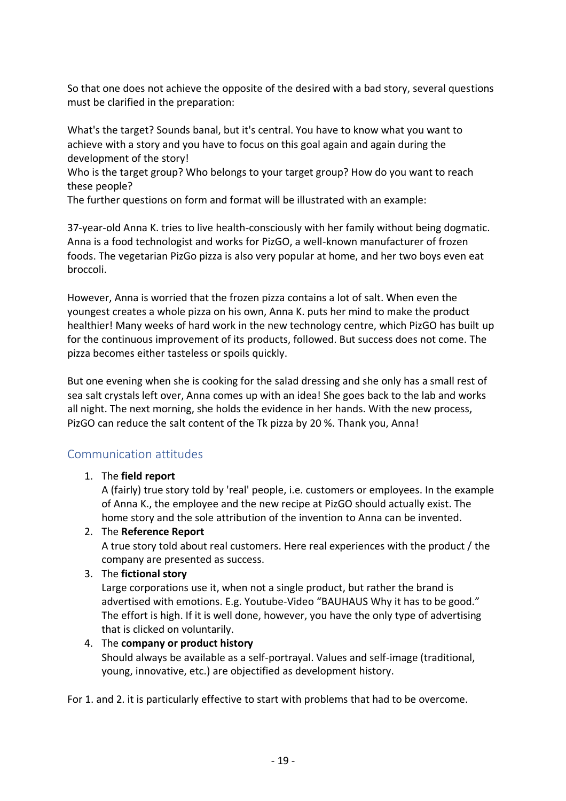So that one does not achieve the opposite of the desired with a bad story, several questions must be clarified in the preparation:

What's the target? Sounds banal, but it's central. You have to know what you want to achieve with a story and you have to focus on this goal again and again during the development of the story!

Who is the target group? Who belongs to your target group? How do you want to reach these people?

The further questions on form and format will be illustrated with an example:

37-year-old Anna K. tries to live health-consciously with her family without being dogmatic. Anna is a food technologist and works for PizGO, a well-known manufacturer of frozen foods. The vegetarian PizGo pizza is also very popular at home, and her two boys even eat broccoli.

However, Anna is worried that the frozen pizza contains a lot of salt. When even the youngest creates a whole pizza on his own, Anna K. puts her mind to make the product healthier! Many weeks of hard work in the new technology centre, which PizGO has built up for the continuous improvement of its products, followed. But success does not come. The pizza becomes either tasteless or spoils quickly.

But one evening when she is cooking for the salad dressing and she only has a small rest of sea salt crystals left over, Anna comes up with an idea! She goes back to the lab and works all night. The next morning, she holds the evidence in her hands. With the new process, PizGO can reduce the salt content of the Tk pizza by 20 %. Thank you, Anna!

# Communication attitudes

# 1. The **field report**

A (fairly) true story told by 'real' people, i.e. customers or employees. In the example of Anna K., the employee and the new recipe at PizGO should actually exist. The home story and the sole attribution of the invention to Anna can be invented.

# 2. The **Reference Report**

A true story told about real customers. Here real experiences with the product / the company are presented as success.

#### 3. The **fictional story**

Large corporations use it, when not a single product, but rather the brand is advertised with emotions. E.g. Youtube-Video "BAUHAUS Why it has to be good." The effort is high. If it is well done, however, you have the only type of advertising that is clicked on voluntarily.

#### 4. The **company or product history**

Should always be available as a self-portrayal. Values and self-image (traditional, young, innovative, etc.) are objectified as development history.

For 1. and 2. it is particularly effective to start with problems that had to be overcome.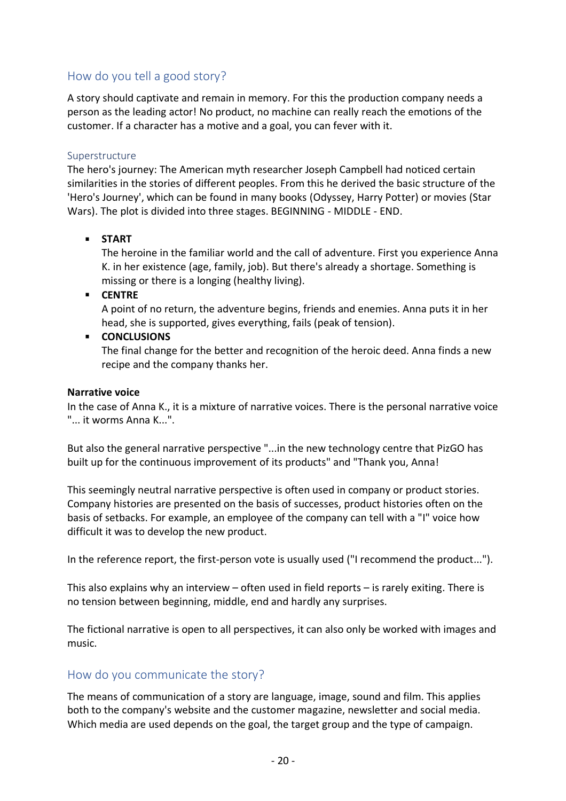# How do you tell a good story?

A story should captivate and remain in memory. For this the production company needs a person as the leading actor! No product, no machine can really reach the emotions of the customer. If a character has a motive and a goal, you can fever with it.

#### Superstructure

The hero's journey: The American myth researcher Joseph Campbell had noticed certain similarities in the stories of different peoples. From this he derived the basic structure of the 'Hero's Journey', which can be found in many books (Odyssey, Harry Potter) or movies (Star Wars). The plot is divided into three stages. BEGINNING - MIDDLE - END.

#### **START**

The heroine in the familiar world and the call of adventure. First you experience Anna K. in her existence (age, family, job). But there's already a shortage. Something is missing or there is a longing (healthy living).

**CENTRE**

A point of no return, the adventure begins, friends and enemies. Anna puts it in her head, she is supported, gives everything, fails (peak of tension).

#### **E** CONCLUSIONS

The final change for the better and recognition of the heroic deed. Anna finds a new recipe and the company thanks her.

#### **Narrative voice**

In the case of Anna K., it is a mixture of narrative voices. There is the personal narrative voice "... it worms Anna K...".

But also the general narrative perspective "...in the new technology centre that PizGO has built up for the continuous improvement of its products" and "Thank you, Anna!

This seemingly neutral narrative perspective is often used in company or product stories. Company histories are presented on the basis of successes, product histories often on the basis of setbacks. For example, an employee of the company can tell with a "I" voice how difficult it was to develop the new product.

In the reference report, the first-person vote is usually used ("I recommend the product...").

This also explains why an interview – often used in field reports – is rarely exiting. There is no tension between beginning, middle, end and hardly any surprises.

The fictional narrative is open to all perspectives, it can also only be worked with images and music.

#### How do you communicate the story?

The means of communication of a story are language, image, sound and film. This applies both to the company's website and the customer magazine, newsletter and social media. Which media are used depends on the goal, the target group and the type of campaign.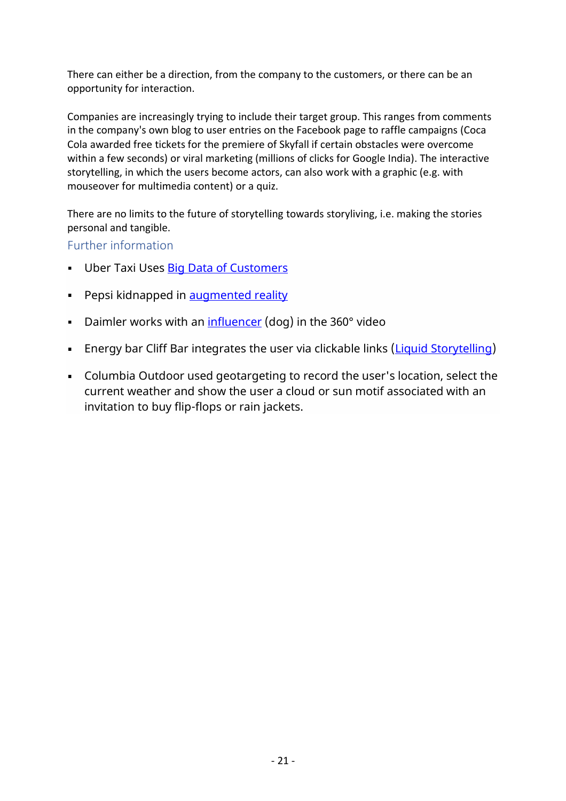There can either be a direction, from the company to the customers, or there can be an opportunity for interaction.

Companies are increasingly trying to include their target group. This ranges from comments in the company's own blog to user entries on the Facebook page to raffle campaigns (Coca Cola awarded free tickets for the premiere of Skyfall if certain obstacles were overcome within a few seconds) or viral marketing (millions of clicks for Google India). The interactive storytelling, in which the users become actors, can also work with a graphic (e.g. with mouseover for multimedia content) or a quiz.

There are no limits to the future of storytelling towards storyliving, i.e. making the stories personal and tangible.

# Further information

- **Uber Taxi Uses Big Data of Customers**
- Pepsi kidnapped in [augmented reality](https://www.youtube.com/watch?time_continue=96&v=Go9rf9GmYpM)
- Daimler works with an  $influencer$  (dog) in the 360 $^{\circ}$  video
- **Energy bar Cliff Bar integrates the user via clickable links [\(Liquid Storytelling\)](https://www.youtube.com/watch?time_continue=2&v=6zDuNaEN7O0)**
- Columbia Outdoor used geotargeting to record the user's location, select the current weather and show the user a cloud or sun motif associated with an invitation to buy flip-flops or rain jackets.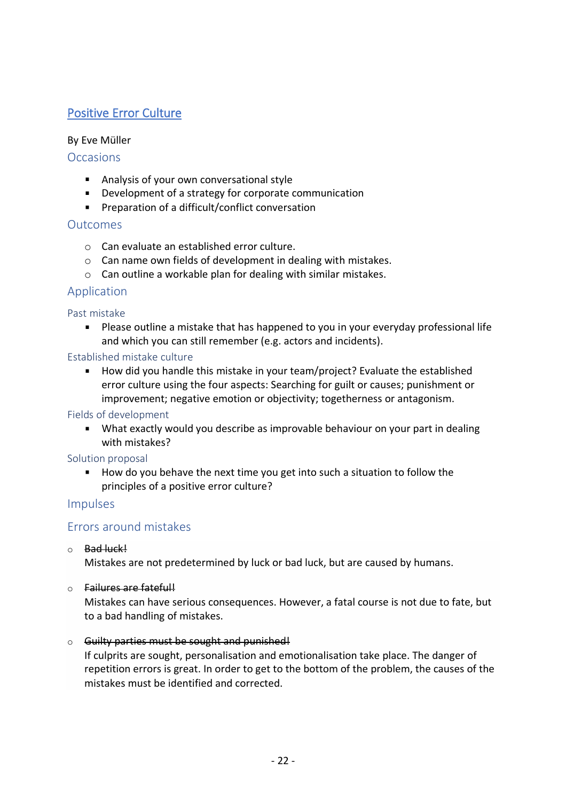# <span id="page-21-0"></span>Positive Error Culture

#### By Eve Müller

## **Occasions**

- **Analysis of your own conversational style**
- **Development of a strategy for corporate communication**
- Preparation of a difficult/conflict conversation

## Outcomes

- o Can evaluate an established error culture.
- o Can name own fields of development in dealing with mistakes.
- o Can outline a workable plan for dealing with similar mistakes.

# Application

#### Past mistake

Please outline a mistake that has happened to you in your everyday professional life and which you can still remember (e.g. actors and incidents).

#### Established mistake culture

■ How did you handle this mistake in your team/project? Evaluate the established error culture using the four aspects: Searching for guilt or causes; punishment or improvement; negative emotion or objectivity; togetherness or antagonism.

Fields of development

What exactly would you describe as improvable behaviour on your part in dealing with mistakes?

#### Solution proposal

How do you behave the next time you get into such a situation to follow the principles of a positive error culture?

# Impulses

# Errors around mistakes

o Bad luck!

Mistakes are not predetermined by luck or bad luck, but are caused by humans.

o Failures are fateful!

Mistakes can have serious consequences. However, a fatal course is not due to fate, but to a bad handling of mistakes.

#### o Guilty parties must be sought and punished!

If culprits are sought, personalisation and emotionalisation take place. The danger of repetition errors is great. In order to get to the bottom of the problem, the causes of the mistakes must be identified and corrected.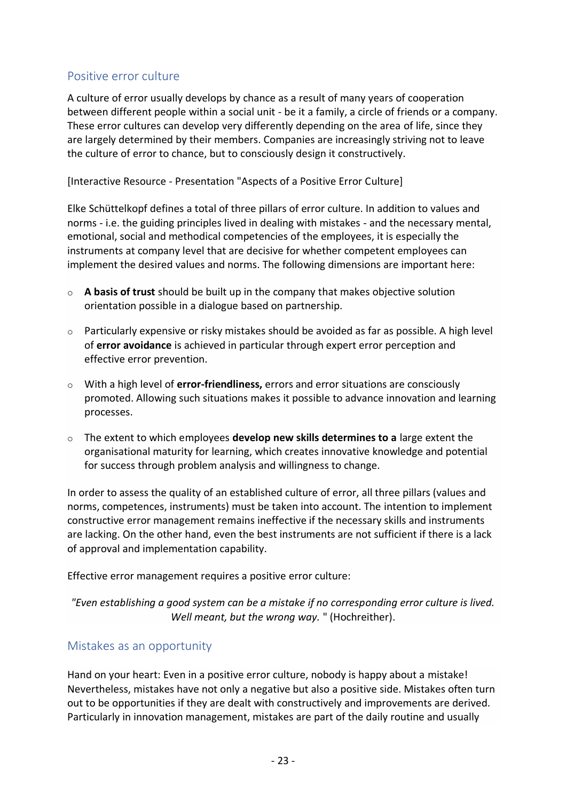# Positive error culture

A culture of error usually develops by chance as a result of many years of cooperation between different people within a social unit - be it a family, a circle of friends or a company. These error cultures can develop very differently depending on the area of life, since they are largely determined by their members. Companies are increasingly striving not to leave the culture of error to chance, but to consciously design it constructively.

[Interactive Resource - Presentation "Aspects of a Positive Error Culture]

Elke Schüttelkopf defines a total of three pillars of error culture. In addition to values and norms - i.e. the guiding principles lived in dealing with mistakes - and the necessary mental, emotional, social and methodical competencies of the employees, it is especially the instruments at company level that are decisive for whether competent employees can implement the desired values and norms. The following dimensions are important here:

- o **A basis of trust** should be built up in the company that makes objective solution orientation possible in a dialogue based on partnership.
- $\circ$  Particularly expensive or risky mistakes should be avoided as far as possible. A high level of **error avoidance** is achieved in particular through expert error perception and effective error prevention.
- o With a high level of **error-friendliness,** errors and error situations are consciously promoted. Allowing such situations makes it possible to advance innovation and learning processes.
- o The extent to which employees **develop new skills determines to a** large extent the organisational maturity for learning, which creates innovative knowledge and potential for success through problem analysis and willingness to change.

In order to assess the quality of an established culture of error, all three pillars (values and norms, competences, instruments) must be taken into account. The intention to implement constructive error management remains ineffective if the necessary skills and instruments are lacking. On the other hand, even the best instruments are not sufficient if there is a lack of approval and implementation capability.

Effective error management requires a positive error culture:

*"Even establishing a good system can be a mistake if no corresponding error culture is lived. Well meant, but the wrong way.* " (Hochreither).

#### Mistakes as an opportunity

Hand on your heart: Even in a positive error culture, nobody is happy about a mistake! Nevertheless, mistakes have not only a negative but also a positive side. Mistakes often turn out to be opportunities if they are dealt with constructively and improvements are derived. Particularly in innovation management, mistakes are part of the daily routine and usually